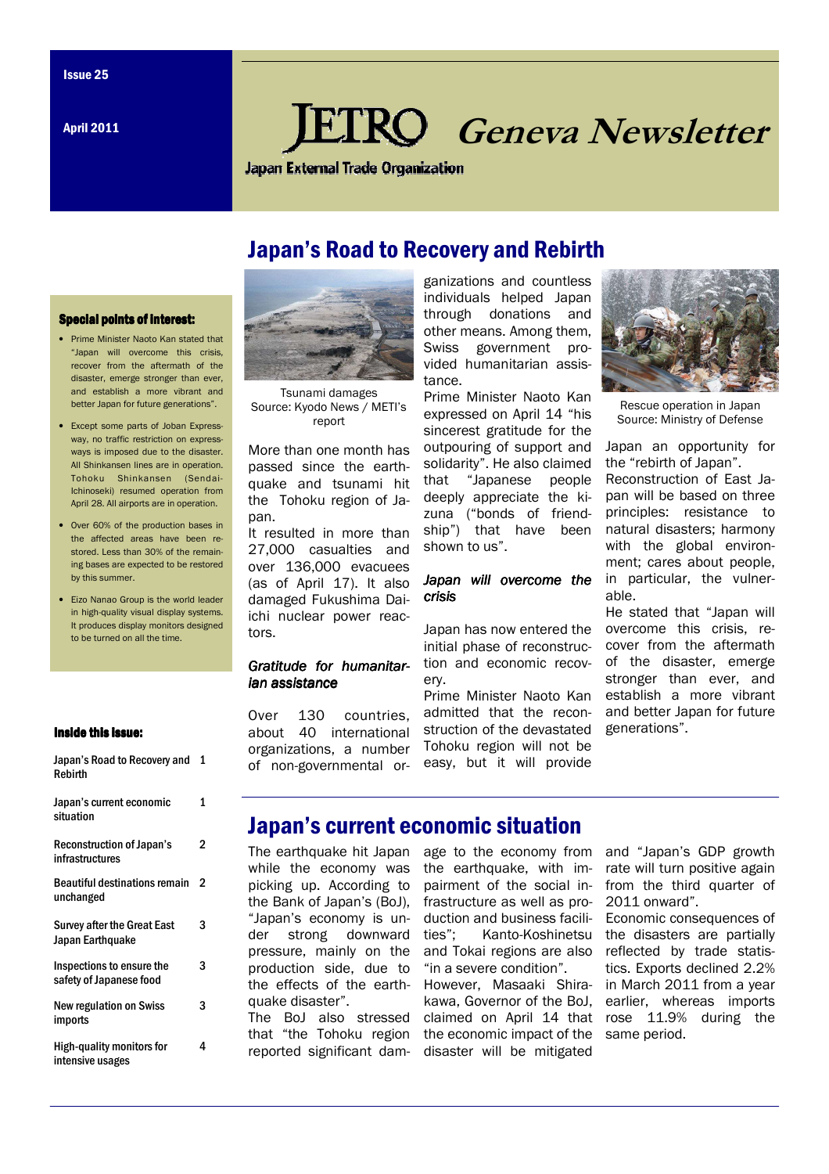April 2011

# **KO** Geneva Newsletter

**Japan External Trade Organization** 

# Japan's Road to Recovery and Rebirth

#### **Special points of interest:**

- Prime Minister Naoto Kan stated that "Japan will overcome this crisis, recover from the aftermath of the disaster, emerge stronger than ever, and establish a more vibrant and better Japan for future generations".
- Except some parts of Joban Expressway, no traffic restriction on expressways is imposed due to the disaster. All Shinkansen lines are in operation. Tohoku Shinkansen (Sendai-Ichinoseki) resumed operation from April 28. All airports are in operation.
- Over 60% of the production bases in the affected areas have been restored. Less than 30% of the remaining bases are expected to be restored by this summer.
- Eizo Nanao Group is the world leader in high-quality visual display systems. It produces display monitors designed to be turned on all the time.

#### Inside this issue:

| Rebirth                                                |   |
|--------------------------------------------------------|---|
| Japan's current economic<br>situation                  | 1 |
| <b>Reconstruction of Japan's</b><br>infrastructures    | 2 |
| <b>Beautiful destinations remain</b><br>unchanged      | 2 |
| <b>Survey after the Great East</b><br>Japan Earthquake | 3 |
| Inspections to ensure the<br>safety of Japanese food   | 3 |
| <b>New regulation on Swiss</b><br>imports              | 3 |
| High-quality monitors for<br>intensive usages          | 4 |

Japan's Road to Recovery and 1



Tsunami damages Source: Kyodo News / METI's report

More than one month has passed since the earthquake and tsunami hit the Tohoku region of Japan.

It resulted in more than 27,000 casualties and over 136,000 evacuees (as of April 17). It also damaged Fukushima Daiichi nuclear power reactors.

#### Gratitude for humanitarian assistance

Over 130 countries, about 40 international organizations, a number of non-governmental organizations and countless individuals helped Japan through donations and other means. Among them, Swiss government provided humanitarian assistance.

Prime Minister Naoto Kan expressed on April 14 "his sincerest gratitude for the outpouring of support and solidarity". He also claimed that "Japanese people deeply appreciate the kizuna ("bonds of friendship") that have been shown to us".

#### Japan will overcome the crisis

Japan has now entered the initial phase of reconstruction and economic recovery.

Prime Minister Naoto Kan admitted that the reconstruction of the devastated Tohoku region will not be easy, but it will provide



Rescue operation in Japan Source: Ministry of Defense

Japan an opportunity for the "rebirth of Japan". Reconstruction of East Japan will be based on three principles: resistance to natural disasters; harmony with the global environment; cares about people, in particular, the vulnerable.

He stated that "Japan will overcome this crisis, recover from the aftermath of the disaster, emerge stronger than ever, and establish a more vibrant and better Japan for future generations".

# Japan's current economic situation

The earthquake hit Japan while the economy was picking up. According to the Bank of Japan's (BoJ), "Japan's economy is under strong downward pressure, mainly on the production side, due to the effects of the earthquake disaster".

The BoJ also stressed

age to the economy from the earthquake, with impairment of the social infrastructure as well as production and business facilities"; Kanto-Koshinetsu and Tokai regions are also "in a severe condition".

However, Masaaki Shirakawa, Governor of the BoJ, claimed on April 14 that that "the Tohoku region the economic impact of the reported significant dam- disaster will be mitigated

and "Japan's GDP growth rate will turn positive again from the third quarter of 2011 onward".

Economic consequences of the disasters are partially reflected by trade statistics. Exports declined 2.2% in March 2011 from a year earlier, whereas imports rose 11.9% during the same period.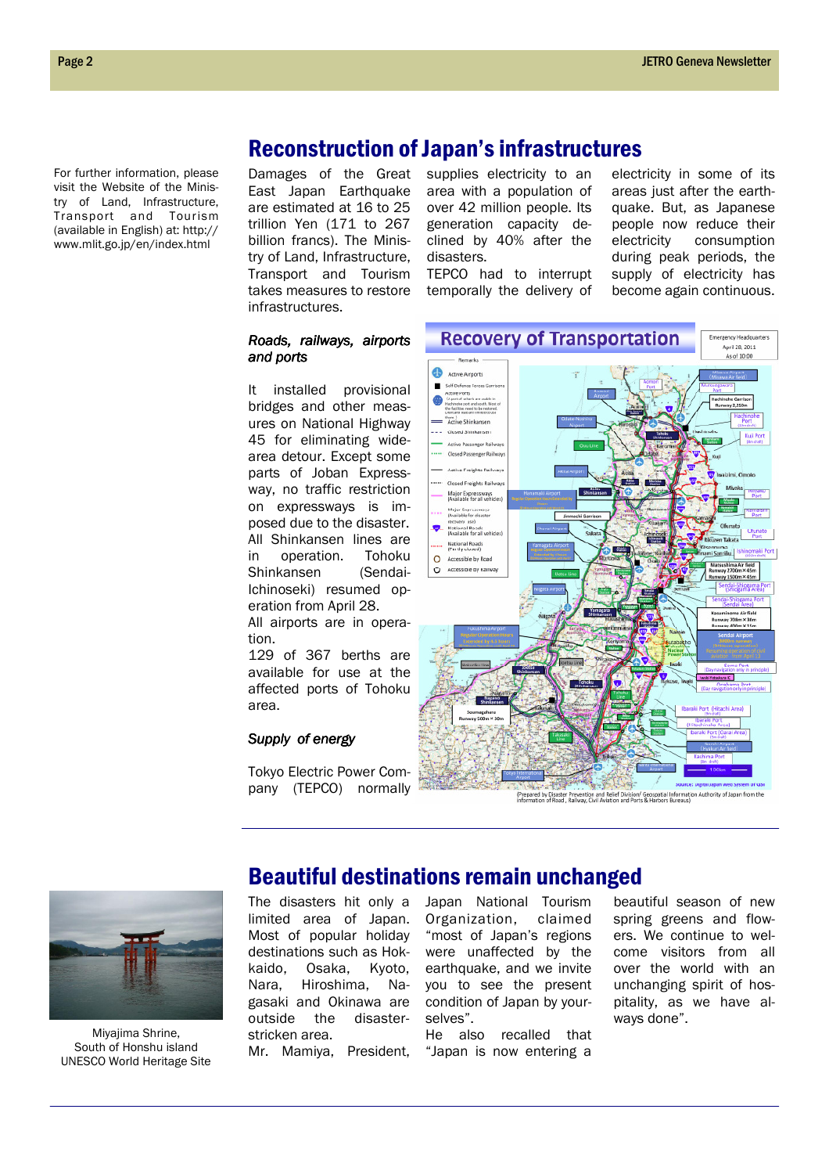For further information, please visit the Website of the Ministry of Land, Infrastructure, Transport and Tourism (available in English) at: http:// www.mlit.go.jp/en/index.html

Damages of the Great East Japan Earthquake are estimated at 16 to 25 trillion Yen (171 to 267 billion francs). The Ministry of Land, Infrastructure, Transport and Tourism takes measures to restore infrastructures.

supplies electricity to an area with a population of over 42 million people. Its generation capacity declined by 40% after the disasters.

Reconstruction of Japan's infrastructures

TEPCO had to interrupt temporally the delivery of electricity in some of its areas just after the earthquake. But, as Japanese people now reduce their electricity consumption during peak periods, the supply of electricity has become again continuous.

#### Roads, railways, airports and ports

It installed provisional bridges and other measures on National Highway 45 for eliminating widearea detour. Except some parts of Joban Expressway, no traffic restriction on expressways is imposed due to the disaster. All Shinkansen lines are in operation. Tohoku Shinkansen (Sendai-Ichinoseki) resumed operation from April 28.

All airports are in operation.

129 of 367 berths are available for use at the affected ports of Tohoku area.

#### Supply of energy

Tokyo Electric Power Company (TEPCO) normally





Miyajima Shrine, South of Honshu island UNESCO World Heritage Site

### Beautiful destinations remain unchanged

The disasters hit only a limited area of Japan. Most of popular holiday destinations such as Hok-<br>kaido, Osaka, Kvoto. kaido, Osaka, Nara, Hiroshima, Nagasaki and Okinawa are outside the disasterstricken area.

Mr. Mamiya, President,

Japan National Tourism Organization, claimed "most of Japan's regions were unaffected by the earthquake, and we invite you to see the present condition of Japan by yourselves".

He also recalled that "Japan is now entering a

beautiful season of new spring greens and flowers. We continue to welcome visitors from all over the world with an unchanging spirit of hospitality, as we have always done".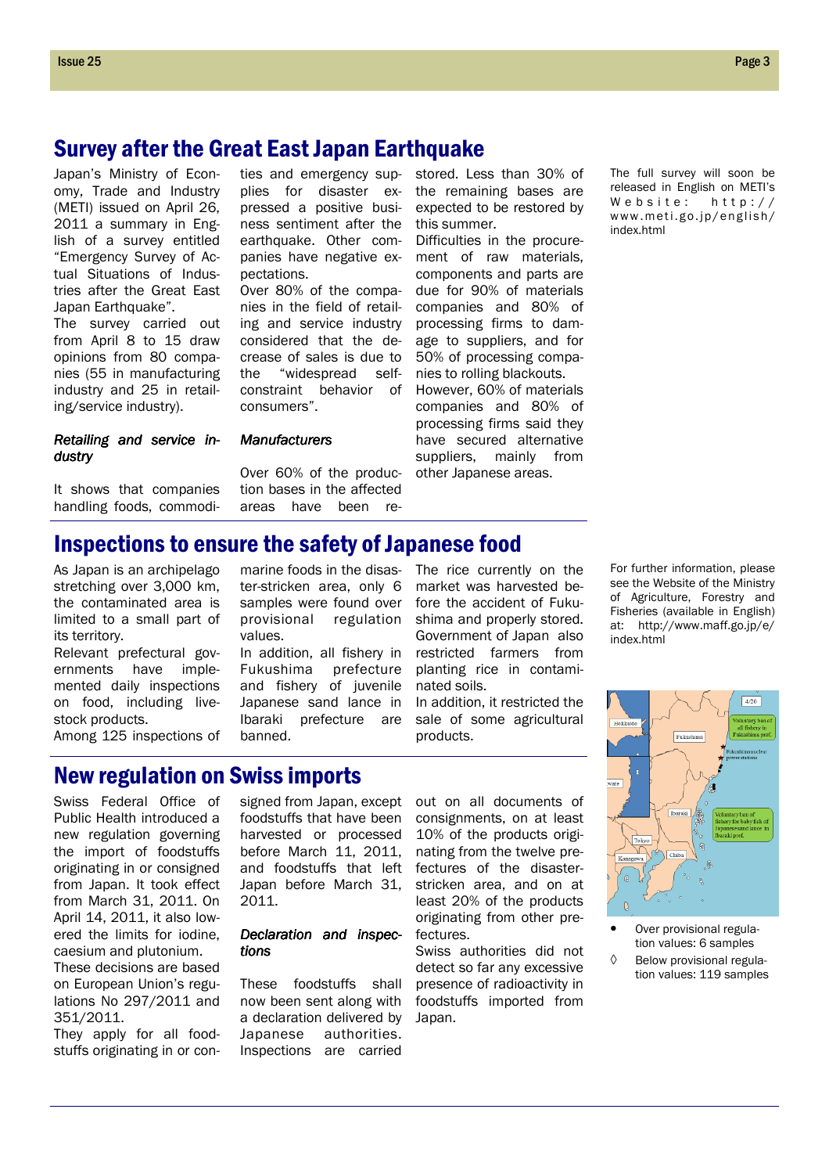# Survey after the Great East Japan Earthquake

Japan's Ministry of Economy, Trade and Industry (METI) issued on April 26, 2011 a summary in English of a survey entitled "Emergency Survey of Actual Situations of Industries after the Great East Japan Earthquake".

The survey carried out from April 8 to 15 draw opinions from 80 companies (55 in manufacturing industry and 25 in retailing/service industry).

ties and emergency supplies for disaster expressed a positive business sentiment after the earthquake. Other companies have negative expectations.

Over 80% of the companies in the field of retailing and service industry considered that the decrease of sales is due to the "widespread selfconstraint behavior of consumers".

#### Retailing and service industry

It shows that companies handling foods, commodi-

**Manufacturers** 

Over 60% of the production bases in the affected areas have been restored. Less than 30% of the remaining bases are expected to be restored by this summer.

Difficulties in the procurement of raw materials, components and parts are due for 90% of materials companies and 80% of processing firms to damage to suppliers, and for 50% of processing companies to rolling blackouts.

However, 60% of materials companies and 80% of processing firms said they have secured alternative suppliers, mainly from other Japanese areas.

The full survey will soon be released in English on METI's Website:  $h \cdot t \cdot p$ :// www.meti.go.jp/english/ index.html

# Inspections to ensure the safety of Japanese food

As Japan is an archipelago stretching over 3,000 km, the contaminated area is limited to a small part of its territory.

Relevant prefectural governments have implemented daily inspections on food, including livestock products.

Among 125 inspections of

marine foods in the disaster-stricken area, only 6 samples were found over provisional regulation values.

In addition, all fishery in Fukushima prefecture and fishery of juvenile Japanese sand lance in Ibaraki prefecture are banned.

The rice currently on the market was harvested before the accident of Fukushima and properly stored. Government of Japan also restricted farmers from planting rice in contaminated soils.

In addition, it restricted the sale of some agricultural

products.

### New regulation on Swiss imports

Swiss Federal Office of Public Health introduced a new regulation governing the import of foodstuffs originating in or consigned from Japan. It took effect from March 31, 2011. On April 14, 2011, it also lowered the limits for iodine, caesium and plutonium. These decisions are based on European Union's regulations No 297/2011 and 351/2011.

They apply for all foodstuffs originating in or con-

signed from Japan, except foodstuffs that have been harvested or processed before March 11, 2011, and foodstuffs that left Japan before March 31, 2011.

#### Declaration and inspections

These foodstuffs shall now been sent along with a declaration delivered by Japanese authorities. Inspections are carried

out on all documents of consignments, on at least 10% of the products originating from the twelve prefectures of the disasterstricken area, and on at least 20% of the products originating from other prefectures.

Swiss authorities did not detect so far any excessive presence of radioactivity in foodstuffs imported from Japan.

For further information, please see the Website of the Ministry of Agriculture, Forestry and Fisheries (available in English) at: http://www.maff.go.jp/e/ index.html



• Over provisional regulation values: 6 samples ◊ Below provisional regulation values: 119 samples